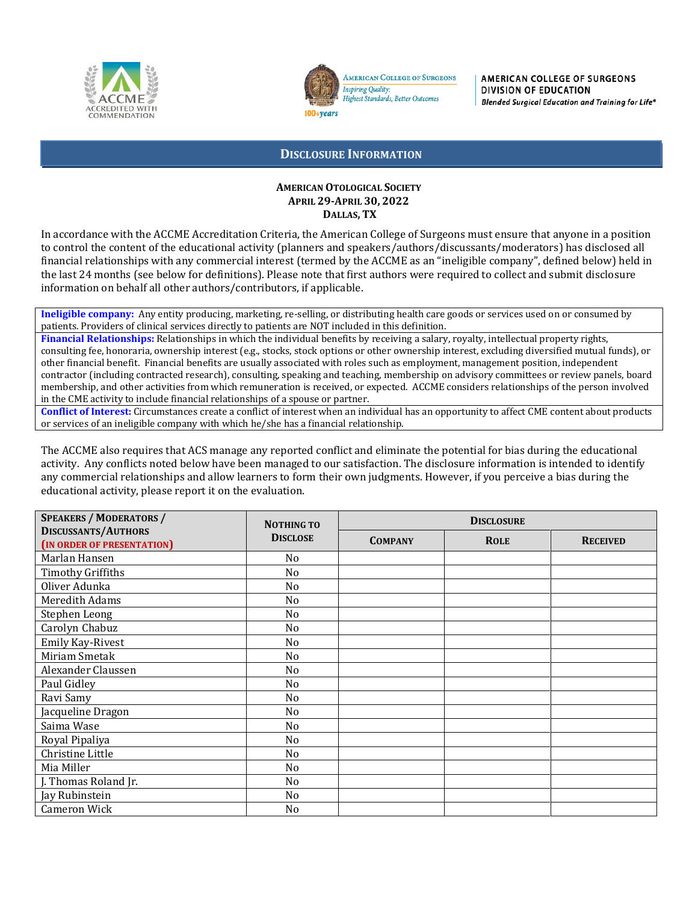



**AMERICAN COLLEGE OF SURGEONS Inspiring Quality:** Highest Standards, Better Outcomes

AMERICAN COLLEGE OF SURGEONS DIVISION OF EDUCATION Blended Surgical Education and Training for Life®

## **DISCLOSURE INFORMATION**

## **AMERICAN OTOLOGICAL SOCIETY APRIL 29-APRIL 30, 2022 DALLAS, TX**

In accordance with the ACCME Accreditation Criteria, the American College of Surgeons must ensure that anyone in a position to control the content of the educational activity (planners and speakers/authors/discussants/moderators) has disclosed all financial relationships with any commercial interest (termed by the ACCME as an "ineligible company", defined below) held in the last 24 months (see below for definitions). Please note that first authors were required to collect and submit disclosure information on behalf all other authors/contributors, if applicable.

**Ineligible company:** Any entity producing, marketing, re-selling, or distributing health care goods or services used on or consumed by patients. Providers of clinical services directly to patients are NOT included in this definition.

**Financial Relationships:** Relationships in which the individual benefits by receiving a salary, royalty, intellectual property rights, consulting fee, honoraria, ownership interest (e.g., stocks, stock options or other ownership interest, excluding diversified mutual funds), or other financial benefit. Financial benefits are usually associated with roles such as employment, management position, independent contractor (including contracted research), consulting, speaking and teaching, membership on advisory committees or review panels, board membership, and other activities from which remuneration is received, or expected. ACCME considers relationships of the person involved in the CME activity to include financial relationships of a spouse or partner.

**Conflict of Interest:** Circumstances create a conflict of interest when an individual has an opportunity to affect CME content about products or services of an ineligible company with which he/she has a financial relationship.

The ACCME also requires that ACS manage any reported conflict and eliminate the potential for bias during the educational activity. Any conflicts noted below have been managed to our satisfaction. The disclosure information is intended to identify any commercial relationships and allow learners to form their own judgments. However, if you perceive a bias during the educational activity, please report it on the evaluation.

| <b>SPEAKERS / MODERATORS /</b>                           | <b>NOTHING TO</b> | <b>DISCLOSURE</b> |             |                 |
|----------------------------------------------------------|-------------------|-------------------|-------------|-----------------|
| <b>DISCUSSANTS/AUTHORS</b><br>(IN ORDER OF PRESENTATION) | <b>DISCLOSE</b>   | <b>COMPANY</b>    | <b>ROLE</b> | <b>RECEIVED</b> |
| Marlan Hansen                                            | N <sub>o</sub>    |                   |             |                 |
| <b>Timothy Griffiths</b>                                 | N <sub>o</sub>    |                   |             |                 |
| Oliver Adunka                                            | N <sub>o</sub>    |                   |             |                 |
| <b>Meredith Adams</b>                                    | N <sub>o</sub>    |                   |             |                 |
| Stephen Leong                                            | No                |                   |             |                 |
| Carolyn Chabuz                                           | N <sub>o</sub>    |                   |             |                 |
| Emily Kay-Rivest                                         | No                |                   |             |                 |
| Miriam Smetak                                            | No                |                   |             |                 |
| Alexander Claussen                                       | No                |                   |             |                 |
| Paul Gidley                                              | No                |                   |             |                 |
| Ravi Samy                                                | N <sub>o</sub>    |                   |             |                 |
| Jacqueline Dragon                                        | No                |                   |             |                 |
| Saima Wase                                               | N <sub>o</sub>    |                   |             |                 |
| Royal Pipaliya                                           | No                |                   |             |                 |
| Christine Little                                         | No                |                   |             |                 |
| Mia Miller                                               | N <sub>o</sub>    |                   |             |                 |
| J. Thomas Roland Jr.                                     | N <sub>o</sub>    |                   |             |                 |
| Jay Rubinstein                                           | No                |                   |             |                 |
| <b>Cameron Wick</b>                                      | No                |                   |             |                 |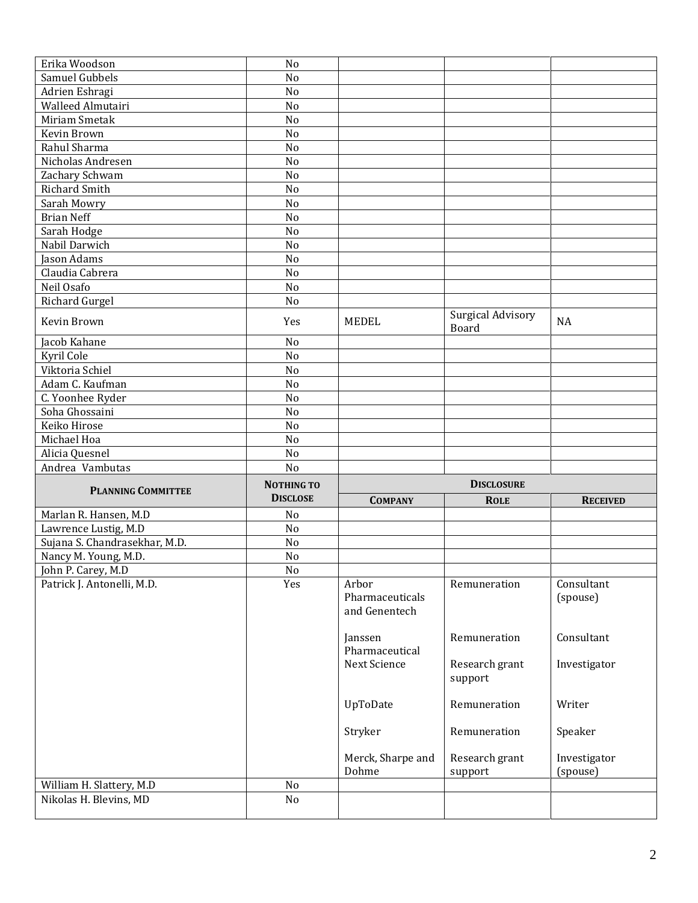| Erika Woodson                 | No                                   |                     |                                   |                 |
|-------------------------------|--------------------------------------|---------------------|-----------------------------------|-----------------|
| Samuel Gubbels                | No                                   |                     |                                   |                 |
| Adrien Eshragi                | No                                   |                     |                                   |                 |
| Walleed Almutairi             | No                                   |                     |                                   |                 |
| Miriam Smetak                 | No                                   |                     |                                   |                 |
| Kevin Brown                   | No                                   |                     |                                   |                 |
| Rahul Sharma                  | No                                   |                     |                                   |                 |
| Nicholas Andresen             | No                                   |                     |                                   |                 |
| Zachary Schwam                | No                                   |                     |                                   |                 |
| Richard Smith                 | No                                   |                     |                                   |                 |
| Sarah Mowry                   | No                                   |                     |                                   |                 |
| <b>Brian Neff</b>             | No                                   |                     |                                   |                 |
| Sarah Hodge                   | No                                   |                     |                                   |                 |
| Nabil Darwich                 | N <sub>o</sub>                       |                     |                                   |                 |
| Jason Adams                   | No                                   |                     |                                   |                 |
| Claudia Cabrera               | No                                   |                     |                                   |                 |
| Neil Osafo                    | No                                   |                     |                                   |                 |
| Richard Gurgel                | No                                   |                     |                                   |                 |
| Kevin Brown                   | Yes                                  | <b>MEDEL</b>        | <b>Surgical Advisory</b><br>Board | <b>NA</b>       |
| Jacob Kahane                  | No                                   |                     |                                   |                 |
| Kyril Cole                    | No                                   |                     |                                   |                 |
| Viktoria Schiel               | No                                   |                     |                                   |                 |
| Adam C. Kaufman               | No                                   |                     |                                   |                 |
| C. Yoonhee Ryder              | No                                   |                     |                                   |                 |
| Soha Ghossaini                | No                                   |                     |                                   |                 |
| Keiko Hirose                  | No                                   |                     |                                   |                 |
|                               |                                      |                     |                                   |                 |
|                               |                                      |                     |                                   |                 |
| Michael Hoa                   | No                                   |                     |                                   |                 |
| Alicia Quesnel                | No<br>N <sub>o</sub>                 |                     |                                   |                 |
| Andrea Vambutas               |                                      |                     |                                   |                 |
| <b>PLANNING COMMITTEE</b>     | <b>NOTHING TO</b><br><b>DISCLOSE</b> |                     | <b>DISCLOSURE</b>                 |                 |
|                               |                                      | <b>COMPANY</b>      | <b>ROLE</b>                       | <b>RECEIVED</b> |
| Marlan R. Hansen, M.D         | No                                   |                     |                                   |                 |
| Lawrence Lustig, M.D          | No                                   |                     |                                   |                 |
| Sujana S. Chandrasekhar, M.D. | No                                   |                     |                                   |                 |
| Nancy M. Young, M.D.          | No                                   |                     |                                   |                 |
| John P. Carey, M.D            | $\rm No$                             |                     |                                   |                 |
| Patrick J. Antonelli, M.D.    | Yes                                  | Arbor               | Remuneration                      | Consultant      |
|                               |                                      | Pharmaceuticals     |                                   | (spouse)        |
|                               |                                      | and Genentech       |                                   |                 |
|                               |                                      |                     |                                   |                 |
|                               |                                      | Janssen             | Remuneration                      | Consultant      |
|                               |                                      | Pharmaceutical      |                                   |                 |
|                               |                                      | <b>Next Science</b> | Research grant<br>support         | Investigator    |
|                               |                                      |                     |                                   |                 |
|                               |                                      | UpToDate            | Remuneration                      | Writer          |
|                               |                                      | Stryker             | Remuneration                      | Speaker         |
|                               |                                      | Merck, Sharpe and   | Research grant                    | Investigator    |
|                               |                                      | Dohme               | support                           | (spouse)        |
| William H. Slattery, M.D      | No                                   |                     |                                   |                 |
| Nikolas H. Blevins, MD        | No                                   |                     |                                   |                 |